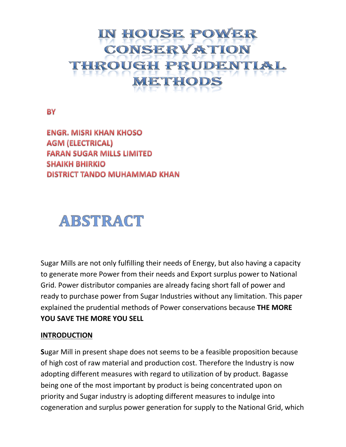# IN HOUSE POWER **CONSERVATION ROUGH PRUDENTIA** METHODS

**BY** 

**ENGR. MISRI KHAN KHOSO AGM (ELECTRICAL) FARAN SUGAR MILLS LIMITED SHAIKH BHIRKIO** DISTRICT TANDO MUHAMMAD KHAN

# ABSTRACT

Sugar Mills are not only fulfilling their needs of Energy, but also having a capacity to generate more Power from their needs and Export surplus power to National Grid. Power distributor companies are already facing short fall of power and ready to purchase power from Sugar Industries without any limitation. This paper explained the prudential methods of Power conservations because **THE MORE YOU SAVE THE MORE YOU SELL** 

#### **INTRODUCTION**

**S**ugar Mill in present shape does not seems to be a feasible proposition because of high cost of raw material and production cost. Therefore the Industry is now adopting different measures with regard to utilization of by product. Bagasse being one of the most important by product is being concentrated upon on priority and Sugar industry is adopting different measures to indulge into cogeneration and surplus power generation for supply to the National Grid, which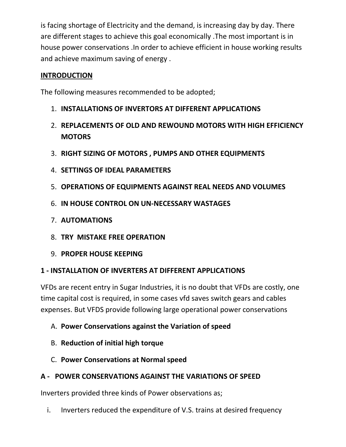is facing shortage of Electricity and the demand, is increasing day by day. There are different stages to achieve this goal economically .The most important is in house power conservations .In order to achieve efficient in house working results and achieve maximum saving of energy .

#### **INTRODUCTION**

The following measures recommended to be adopted;

- 1. **INSTALLATIONS OF INVERTORS AT DIFFERENT APPLICATIONS**
- 2. **REPLACEMENTS OF OLD AND REWOUND MOTORS WITH HIGH EFFICIENCY MOTORS**
- 3. **RIGHT SIZING OF MOTORS , PUMPS AND OTHER EQUIPMENTS**
- 4. **SETTINGS OF IDEAL PARAMETERS**
- 5. **OPERATIONS OF EQUIPMENTS AGAINST REAL NEEDS AND VOLUMES**
- 6. **IN HOUSE CONTROL ON UN-NECESSARY WASTAGES**
- 7. **AUTOMATIONS**
- 8. **TRY MISTAKE FREE OPERATION**
- 9. **PROPER HOUSE KEEPING**

#### **1 - INSTALLATION OF INVERTERS AT DIFFERENT APPLICATIONS**

VFDs are recent entry in Sugar Industries, it is no doubt that VFDs are costly, one time capital cost is required, in some cases vfd saves switch gears and cables expenses. But VFDS provide following large operational power conservations

- A. **Power Conservations against the Variation of speed**
- B. **Reduction of initial high torque**
- C. **Power Conservations at Normal speed**

# **A - POWER CONSERVATIONS AGAINST THE VARIATIONS OF SPEED**

Inverters provided three kinds of Power observations as;

i. Inverters reduced the expenditure of V.S. trains at desired frequency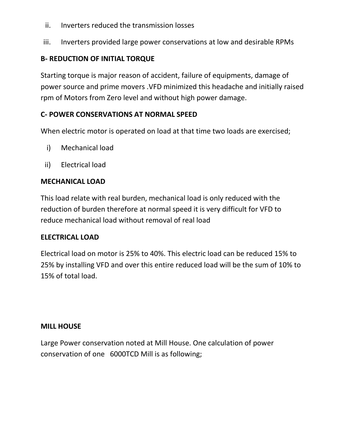- ii. Inverters reduced the transmission losses
- iii. Inverters provided large power conservations at low and desirable RPMs

#### **B- REDUCTION OF INITIAL TORQUE**

Starting torque is major reason of accident, failure of equipments, damage of power source and prime movers .VFD minimized this headache and initially raised rpm of Motors from Zero level and without high power damage.

#### **C- POWER CONSERVATIONS AT NORMAL SPEED**

When electric motor is operated on load at that time two loads are exercised;

- i) Mechanical load
- ii) Electrical load

#### **MECHANICAL LOAD**

This load relate with real burden, mechanical load is only reduced with the reduction of burden therefore at normal speed it is very difficult for VFD to reduce mechanical load without removal of real load

#### **ELECTRICAL LOAD**

Electrical load on motor is 25% to 40%. This electric load can be reduced 15% to 25% by installing VFD and over this entire reduced load will be the sum of 10% to 15% of total load.

#### **MILL HOUSE**

Large Power conservation noted at Mill House. One calculation of power conservation of one 6000TCD Mill is as following;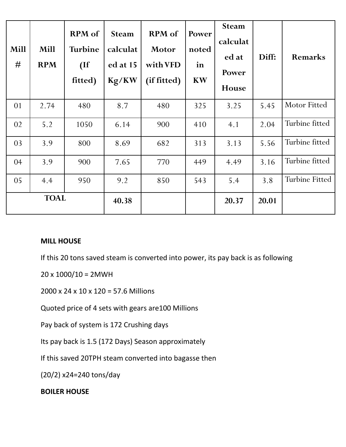| <b>Mill</b><br># | Mill<br><b>RPM</b> | <b>RPM</b> of<br><b>Turbine</b><br>(If)<br>fitted) | <b>Steam</b><br>calculat<br>ed at 15<br>Kg/KW | <b>RPM</b> of<br><b>Motor</b><br>with VFD<br>(if fitted) | Power<br>noted<br>in<br><b>KW</b> | <b>Steam</b><br>calculat<br>ed at<br>Power<br>House | Diff: | Remarks               |
|------------------|--------------------|----------------------------------------------------|-----------------------------------------------|----------------------------------------------------------|-----------------------------------|-----------------------------------------------------|-------|-----------------------|
| 01               | 2.74               | 480                                                | 8.7                                           | 480                                                      | 325                               | 3.25                                                | 5.45  | Motor Fitted          |
| 02               | 5.2                | 1050                                               | 6.14                                          | 900                                                      | 410                               | 4.1                                                 | 2.04  | Turbine fitted        |
| 03               | 3.9                | 800                                                | 8.69                                          | 682                                                      | 313                               | 3.13                                                | 5.56  | Turbine fitted        |
| 04               | 3.9                | 900                                                | 7.65                                          | 770                                                      | 449                               | 4.49                                                | 3.16  | Turbine fitted        |
| 05               | 4.4                | 950                                                | 9.2                                           | 850                                                      | 543                               | 5.4                                                 | 3.8   | <b>Turbine Fitted</b> |
| <b>TOAL</b>      |                    |                                                    | 40.38                                         |                                                          |                                   | 20.37                                               | 20.01 |                       |

#### **MILL HOUSE**

If this 20 tons saved steam is converted into power, its pay back is as following

 $20 \times 1000/10 = 2MWH$ 

2000 x 24 x 10 x 120 = 57.6 Millions

Quoted price of 4 sets with gears are100 Millions

Pay back of system is 172 Crushing days

Its pay back is 1.5 (172 Days) Season approximately

If this saved 20TPH steam converted into bagasse then

(20/2) x24=240 tons/day

#### **BOILER HOUSE**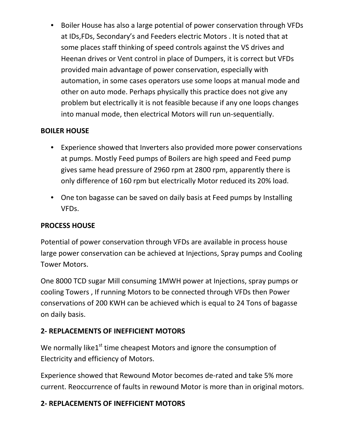• Boiler House has also a large potential of power conservation through VFDs at IDs,FDs, Secondary's and Feeders electric Motors . It is noted that at some places staff thinking of speed controls against the VS drives and Heenan drives or Vent control in place of Dumpers, it is correct but VFDs provided main advantage of power conservation, especially with automation, in some cases operators use some loops at manual mode and other on auto mode. Perhaps physically this practice does not give any problem but electrically it is not feasible because if any one loops changes into manual mode, then electrical Motors will run un-sequentially.

# **BOILER HOUSE**

- Experience showed that Inverters also provided more power conservations at pumps. Mostly Feed pumps of Boilers are high speed and Feed pump gives same head pressure of 2960 rpm at 2800 rpm, apparently there is only difference of 160 rpm but electrically Motor reduced its 20% load.
- One ton bagasse can be saved on daily basis at Feed pumps by Installing VFDs.

#### **PROCESS HOUSE**

Potential of power conservation through VFDs are available in process house large power conservation can be achieved at Injections, Spray pumps and Cooling Tower Motors.

One 8000 TCD sugar Mill consuming 1MWH power at Injections, spray pumps or cooling Towers , If running Motors to be connected through VFDs then Power conservations of 200 KWH can be achieved which is equal to 24 Tons of bagasse on daily basis.

# **2- REPLACEMENTS OF INEFFICIENT MOTORS**

We normally like1<sup>st</sup> time cheapest Motors and ignore the consumption of Electricity and efficiency of Motors.

Experience showed that Rewound Motor becomes de-rated and take 5% more current. Reoccurrence of faults in rewound Motor is more than in original motors.

#### **2- REPLACEMENTS OF INEFFICIENT MOTORS**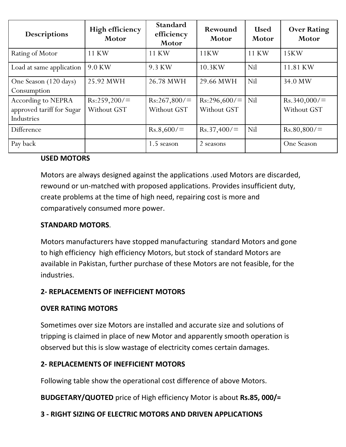| Descriptions                                                  | <b>High efficiency</b><br>Motor | <b>Standard</b><br>efficiency<br>Motor | Rewound<br>Motor           | <b>Used</b><br><b>Motor</b> | <b>Over Rating</b><br>Motor |
|---------------------------------------------------------------|---------------------------------|----------------------------------------|----------------------------|-----------------------------|-----------------------------|
| Rating of Motor                                               | 11 KW                           | 11 KW                                  | 11KW                       | 11 KW                       | 15KW                        |
| Load at same application                                      | 9.0 KW                          | 9.3 KW                                 | 10.3KW                     | Nil                         | 11.81 KW                    |
| One Season (120 days)<br>Consumption                          | 25.92 MWH                       | 26.78 MWH                              | 29.66 MWH                  | Nil                         | 34.0 MW                     |
| According to NEPRA<br>approved tariff for Sugar<br>Industries | Rs:259,200/<br>Without GST      | Rs:267,800/<br>Without GST             | Rs:296,600/<br>Without GST | Nil                         | Rs.340,000/<br>Without GST  |
| Difference                                                    |                                 | Rs.8,600/                              | Rs.37,400/                 | Nil                         | Rs.80,800/                  |
| Pay back                                                      |                                 | 1.5 season                             | 2 seasons                  |                             | One Season                  |

#### **USED MOTORS**

Motors are always designed against the applications .used Motors are discarded, rewound or un-matched with proposed applications. Provides insufficient duty, create problems at the time of high need, repairing cost is more and comparatively consumed more power.

#### **STANDARD MOTORS**.

Motors manufacturers have stopped manufacturing standard Motors and gone to high efficiency high efficiency Motors, but stock of standard Motors are available in Pakistan, further purchase of these Motors are not feasible, for the industries.

# **2- REPLACEMENTS OF INEFFICIENT MOTORS**

#### **OVER RATING MOTORS**

Sometimes over size Motors are installed and accurate size and solutions of tripping is claimed in place of new Motor and apparently smooth operation is observed but this is slow wastage of electricity comes certain damages.

# **2- REPLACEMENTS OF INEFFICIENT MOTORS**

Following table show the operational cost difference of above Motors.

**BUDGETARY/QUOTED** price of High efficiency Motor is about **Rs.85, 000/=**

# **3 - RIGHT SIZING OF ELECTRIC MOTORS AND DRIVEN APPLICATIONS**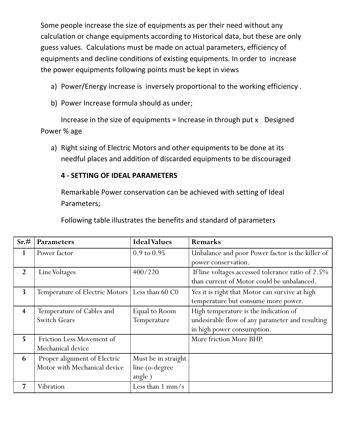Some people increase the size of equipments as per their need without any calculation or change equipments according to Historical data, but these are only guess values. Calculations must be made on actual parameters, efficiency of equipments and decline conditions of existing equipments. In order to increase the power equipments following points must be kept in views

- a) Power/Energy increase is inversely proportional to the working efficiency .
- b) Power Increase formula should as under;

Increase in the size of equipments = Increase in through put  $x$  Designed Power % age

a) Right sizing of Electric Motors and other equipments to be done at its needful places and addition of discarded equipments to be discouraged

#### **4 - SETTING OF IDEAL PARAMETERS**

Remarkable Power conservation can be achieved with setting of Ideal Parameters;

Following table illustrates the benefits and standard of parameters

| Sr.#                    | <b>Parameters</b>                                | <b>Ideal Values</b>    | Remarks                                           |
|-------------------------|--------------------------------------------------|------------------------|---------------------------------------------------|
| 1                       | Power factor                                     | $0.9 \text{ to } 0.95$ | Unbalance and poor Power factor is the killer of  |
|                         |                                                  |                        | power conservation.                               |
| 2                       | Line Voltages                                    | 400/220                | If line voltages accessed tolerance ratio of 2.5% |
|                         |                                                  |                        | than current of Motor could be unbalanced.        |
| $\overline{\mathbf{3}}$ | Temperature of Electric Motors   Less than 60 C0 |                        | Yes it is right that Motor can survive at high    |
|                         |                                                  |                        | temperature but consume more power.               |
| $\overline{\mathbf{4}}$ | Temperature of Cables and                        | Equal to Room          | High temperature is the indication of             |
|                         | <b>Switch Gears</b>                              | Temperature            | undesirable flow of any parameter and resulting   |
|                         |                                                  |                        | in high power consumption.                        |
| 5                       | Friction Less Movement of                        |                        | More friction More BHP.                           |
|                         | Mechanical device                                |                        |                                                   |
| 6                       | Proper alignment of Electric                     | Must be in straight    |                                                   |
|                         | Motor with Mechanical device                     | line (o-degree         |                                                   |
|                         |                                                  | angle)                 |                                                   |
|                         | Vibration                                        | Less than $1$ mm/s     |                                                   |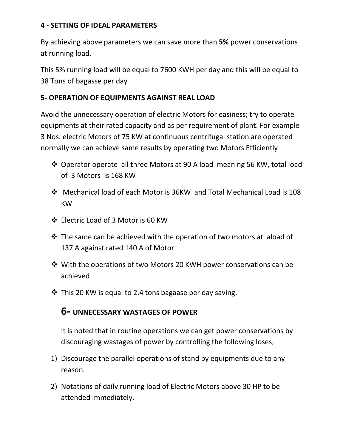#### **4 - SETTING OF IDEAL PARAMETERS**

By achieving above parameters we can save more than **5%** power conservations at running load.

This 5% running load will be equal to 7600 KWH per day and this will be equal to 38 Tons of bagasse per day

#### **5- OPERATION OF EQUIPMENTS AGAINST REAL LOAD**

Avoid the unnecessary operation of electric Motors for easiness; try to operate equipments at their rated capacity and as per requirement of plant. For example 3 Nos. electric Motors of 75 KW at continuous centrifugal station are operated normally we can achieve same results by operating two Motors Efficiently

- ❖ Operator operate all three Motors at 90 A load meaning 56 KW, total load of 3 Motors is 168 KW
- Mechanical load of each Motor is 36KW and Total Mechanical Load is 108 KW
- Electric Load of 3 Motor is 60 KW
- $\cdot$  The same can be achieved with the operation of two motors at aload of 137 A against rated 140 A of Motor
- With the operations of two Motors 20 KWH power conservations can be achieved
- $\cdot$  This 20 KW is equal to 2.4 tons bagaase per day saving.

# **6- UNNECESSARY WASTAGES OF POWER**

It is noted that in routine operations we can get power conservations by discouraging wastages of power by controlling the following loses;

- 1) Discourage the parallel operations of stand by equipments due to any reason.
- 2) Notations of daily running load of Electric Motors above 30 HP to be attended immediately.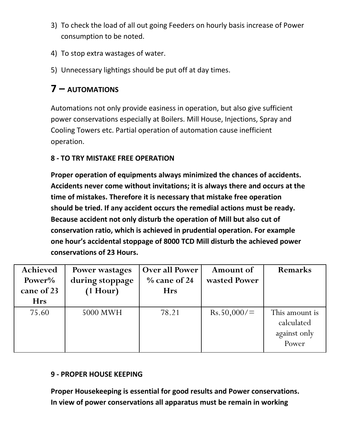- 3) To check the load of all out going Feeders on hourly basis increase of Power consumption to be noted.
- 4) To stop extra wastages of water.
- 5) Unnecessary lightings should be put off at day times.

# **7 – AUTOMATIONS**

Automations not only provide easiness in operation, but also give sufficient power conservations especially at Boilers. Mill House, Injections, Spray and Cooling Towers etc. Partial operation of automation cause inefficient operation.

#### **8 - TO TRY MISTAKE FREE OPERATION**

**Proper operation of equipments always minimized the chances of accidents. Accidents never come without invitations; it is always there and occurs at the time of mistakes. Therefore it is necessary that mistake free operation should be tried. If any accident occurs the remedial actions must be ready. Because accident not only disturb the operation of Mill but also cut of conservation ratio, which is achieved in prudential operation. For example one hour's accidental stoppage of 8000 TCD Mill disturb the achieved power conservations of 23 Hours.**

| Achieved<br>Power%<br>cane of 23<br><b>Hrs</b> | Power wastages<br>during stoppage<br>$(1$ Hour) | <b>Over all Power</b><br>$\%$ cane of 24<br><b>Hrs</b> | Amount of<br>wasted Power | <b>Remarks</b>                                        |
|------------------------------------------------|-------------------------------------------------|--------------------------------------------------------|---------------------------|-------------------------------------------------------|
| 75.60                                          | 5000 MWH                                        | 78.21                                                  | Rs.50,000/                | This amount is<br>calculated<br>against only<br>Power |

# **9 - PROPER HOUSE KEEPING**

**Proper Housekeeping is essential for good results and Power conservations. In view of power conservations all apparatus must be remain in working**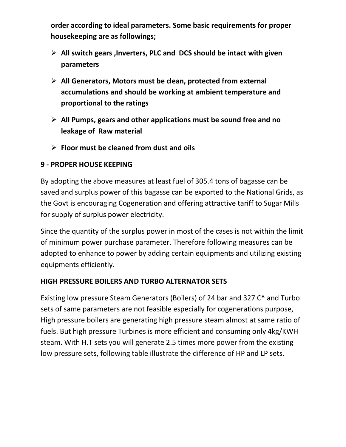**order according to ideal parameters. Some basic requirements for proper housekeeping are as followings;**

- **All switch gears ,Inverters, PLC and DCS should be intact with given parameters**
- **All Generators, Motors must be clean, protected from external accumulations and should be working at ambient temperature and proportional to the ratings**
- **All Pumps, gears and other applications must be sound free and no leakage of Raw material**
- **Floor must be cleaned from dust and oils**

#### **9 - PROPER HOUSE KEEPING**

By adopting the above measures at least fuel of 305.4 tons of bagasse can be saved and surplus power of this bagasse can be exported to the National Grids, as the Govt is encouraging Cogeneration and offering attractive tariff to Sugar Mills for supply of surplus power electricity.

Since the quantity of the surplus power in most of the cases is not within the limit of minimum power purchase parameter. Therefore following measures can be adopted to enhance to power by adding certain equipments and utilizing existing equipments efficiently.

#### **HIGH PRESSURE BOILERS AND TURBO ALTERNATOR SETS**

Existing low pressure Steam Generators (Boilers) of 24 bar and 327 C^ and Turbo sets of same parameters are not feasible especially for cogenerations purpose, High pressure boilers are generating high pressure steam almost at same ratio of fuels. But high pressure Turbines is more efficient and consuming only 4kg/KWH steam. With H.T sets you will generate 2.5 times more power from the existing low pressure sets, following table illustrate the difference of HP and LP sets.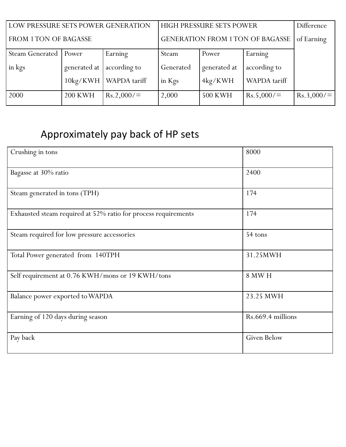| LOW PRESSURE SETS POWER GENERATION |                   |              | HIGH PRESSURE SETS POWER         | Difference     |              |            |
|------------------------------------|-------------------|--------------|----------------------------------|----------------|--------------|------------|
| FROM 1 TON OF BAGASSE              |                   |              | GENERATION FROM 1 TON OF BAGASSE |                |              | of Earning |
| <b>Steam Generated</b>             | Power             | Earning      | Steam                            | Power          | Earning      |            |
| in kgs                             | generated at      | according to | Generated                        | generated at   | according to |            |
|                                    | $10\text{kg/KWH}$ | WAPDA tariff | in Kgs                           | 4kg/KWH        | WAPDA tariff |            |
| 2000                               | <b>200 KWH</b>    | Rs.2,000/    | 2,000                            | <b>500 KWH</b> | Rs.5,000/    | Rs.3,000/  |

# Approximately pay back of HP sets

| Crushing in tons                                               | 8000               |
|----------------------------------------------------------------|--------------------|
| Bagasse at 30% ratio                                           | 2400               |
| Steam generated in tons (TPH)                                  | 174                |
| Exhausted steam required at 52% ratio for process requirements | 174                |
| Steam required for low pressure accessories                    | 54 tons            |
| Total Power generated from 140TPH                              | 31.25MWH           |
| Self requirement at 0.76 KWH/mons or 19 KWH/tons               | <b>8 MW H</b>      |
| Balance power exported to WAPDA                                | 23.25 MWH          |
| Earning of 120 days during season                              | Rs.669.4 millions  |
| Pay back                                                       | <b>Given Below</b> |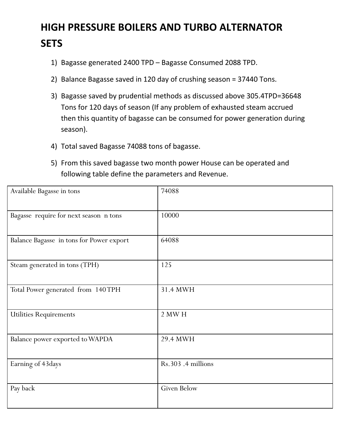# **HIGH PRESSURE BOILERS AND TURBO ALTERNATOR SETS**

- 1) Bagasse generated 2400 TPD Bagasse Consumed 2088 TPD.
- 2) Balance Bagasse saved in 120 day of crushing season = 37440 Tons.
- 3) Bagasse saved by prudential methods as discussed above 305.4TPD=36648 Tons for 120 days of season (If any problem of exhausted steam accrued then this quantity of bagasse can be consumed for power generation during season).
- 4) Total saved Bagasse 74088 tons of bagasse.
- 5) From this saved bagasse two month power House can be operated and following table define the parameters and Revenue.

| Available Bagasse in tons                | 74088             |
|------------------------------------------|-------------------|
| Bagasse require for next season n tons   | 10000             |
| Balance Bagasse in tons for Power export | 64088             |
| Steam generated in tons (TPH)            | 125               |
| Total Power generated from 140TPH        | 31.4 MWH          |
| <b>Utilities Requirements</b>            | <b>2 MW H</b>     |
| Balance power exported to WAPDA          | 29.4 MWH          |
| Earning of 43days                        | Rs.303.4 millions |
| Pay back                                 | Given Below       |